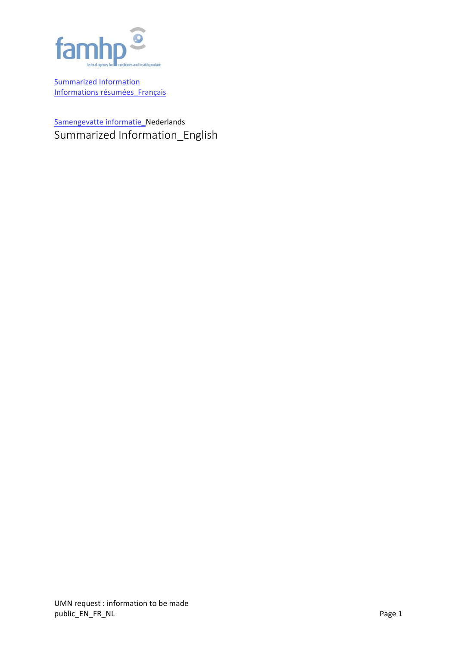

Summarized Information Informations résumées\_Français

Samengevatte informatie\_Nederlands Summarized Information\_English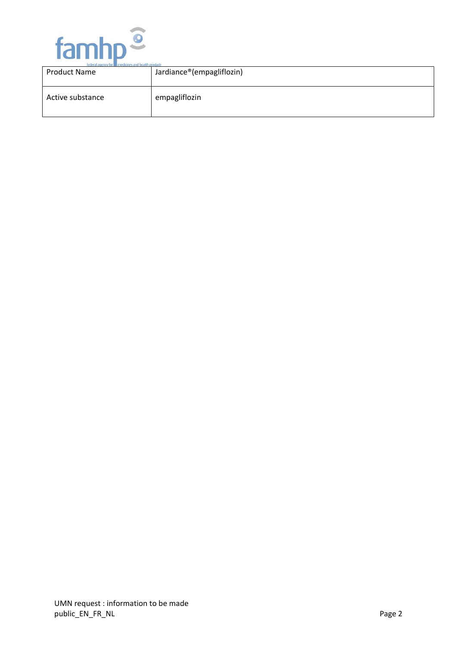

| federal agency for <b>indicial</b> medicines and health products |                           |  |
|------------------------------------------------------------------|---------------------------|--|
| <b>Product Name</b>                                              | Jardiance®(empagliflozin) |  |
| Active substance                                                 | empagliflozin             |  |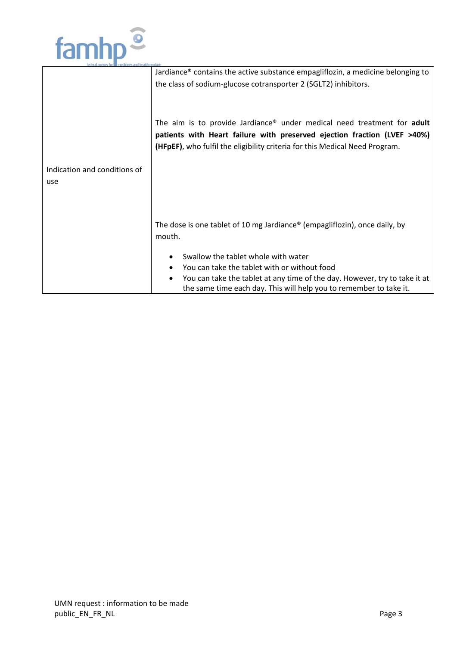

| Jardiance® contains the active substance empagliflozin, a medicine belonging to                                                                  |  |  |  |  |  |
|--------------------------------------------------------------------------------------------------------------------------------------------------|--|--|--|--|--|
| the class of sodium-glucose cotransporter 2 (SGLT2) inhibitors.                                                                                  |  |  |  |  |  |
|                                                                                                                                                  |  |  |  |  |  |
| The aim is to provide Jardiance® under medical need treatment for adult                                                                          |  |  |  |  |  |
| patients with Heart failure with preserved ejection fraction (LVEF >40%)                                                                         |  |  |  |  |  |
| (HFpEF), who fulfil the eligibility criteria for this Medical Need Program.                                                                      |  |  |  |  |  |
|                                                                                                                                                  |  |  |  |  |  |
|                                                                                                                                                  |  |  |  |  |  |
|                                                                                                                                                  |  |  |  |  |  |
|                                                                                                                                                  |  |  |  |  |  |
|                                                                                                                                                  |  |  |  |  |  |
| The dose is one tablet of 10 mg Jardiance® (empagliflozin), once daily, by<br>mouth.                                                             |  |  |  |  |  |
|                                                                                                                                                  |  |  |  |  |  |
| Swallow the tablet whole with water                                                                                                              |  |  |  |  |  |
| You can take the tablet with or without food                                                                                                     |  |  |  |  |  |
| You can take the tablet at any time of the day. However, try to take it at<br>the same time each day. This will help you to remember to take it. |  |  |  |  |  |
|                                                                                                                                                  |  |  |  |  |  |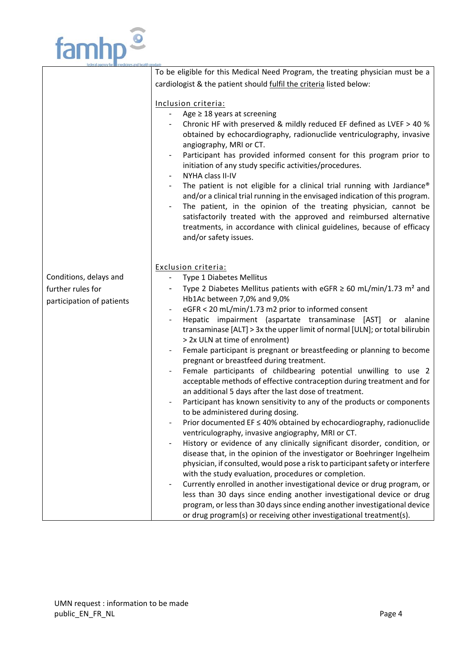

|                           | To be eligible for this Medical Need Program, the treating physician must be a                      |  |  |  |  |
|---------------------------|-----------------------------------------------------------------------------------------------------|--|--|--|--|
|                           | cardiologist & the patient should fulfil the criteria listed below:                                 |  |  |  |  |
|                           |                                                                                                     |  |  |  |  |
|                           | Inclusion criteria:                                                                                 |  |  |  |  |
|                           | Age $\geq$ 18 years at screening                                                                    |  |  |  |  |
|                           | Chronic HF with preserved & mildly reduced EF defined as LVEF > 40 %                                |  |  |  |  |
|                           | obtained by echocardiography, radionuclide ventriculography, invasive                               |  |  |  |  |
|                           | angiography, MRI or CT.                                                                             |  |  |  |  |
|                           | Participant has provided informed consent for this program prior to<br>$\qquad \qquad \blacksquare$ |  |  |  |  |
|                           | initiation of any study specific activities/procedures.                                             |  |  |  |  |
|                           | NYHA class II-IV                                                                                    |  |  |  |  |
|                           | The patient is not eligible for a clinical trial running with Jardiance®                            |  |  |  |  |
|                           | and/or a clinical trial running in the envisaged indication of this program.                        |  |  |  |  |
|                           | The patient, in the opinion of the treating physician, cannot be<br>$\overline{\phantom{a}}$        |  |  |  |  |
|                           | satisfactorily treated with the approved and reimbursed alternative                                 |  |  |  |  |
|                           | treatments, in accordance with clinical guidelines, because of efficacy                             |  |  |  |  |
|                           | and/or safety issues.                                                                               |  |  |  |  |
|                           |                                                                                                     |  |  |  |  |
|                           |                                                                                                     |  |  |  |  |
|                           | Exclusion criteria:                                                                                 |  |  |  |  |
| Conditions, delays and    | Type 1 Diabetes Mellitus<br>$\blacksquare$                                                          |  |  |  |  |
| further rules for         | Type 2 Diabetes Mellitus patients with eGFR $\geq$ 60 mL/min/1.73 m <sup>2</sup> and                |  |  |  |  |
| participation of patients | Hb1Ac between 7,0% and 9,0%                                                                         |  |  |  |  |
|                           | eGFR < 20 mL/min/1.73 m2 prior to informed consent                                                  |  |  |  |  |
|                           | Hepatic impairment (aspartate transaminase [AST] or alanine                                         |  |  |  |  |
|                           | transaminase [ALT] > 3x the upper limit of normal [ULN]; or total bilirubin                         |  |  |  |  |
|                           | > 2x ULN at time of enrolment)                                                                      |  |  |  |  |
|                           | Female participant is pregnant or breastfeeding or planning to become                               |  |  |  |  |
|                           | pregnant or breastfeed during treatment.                                                            |  |  |  |  |
|                           | Female participants of childbearing potential unwilling to use 2                                    |  |  |  |  |
|                           | acceptable methods of effective contraception during treatment and for                              |  |  |  |  |
|                           | an additional 5 days after the last dose of treatment.                                              |  |  |  |  |
|                           | Participant has known sensitivity to any of the products or components                              |  |  |  |  |
|                           | to be administered during dosing.                                                                   |  |  |  |  |
|                           | Prior documented $EF \leq 40\%$ obtained by echocardiography, radionuclide                          |  |  |  |  |
|                           | ventriculography, invasive angiography, MRI or CT.                                                  |  |  |  |  |
|                           | History or evidence of any clinically significant disorder, condition, or                           |  |  |  |  |
|                           | disease that, in the opinion of the investigator or Boehringer Ingelheim                            |  |  |  |  |
|                           | physician, if consulted, would pose a risk to participant safety or interfere                       |  |  |  |  |
|                           | with the study evaluation, procedures or completion.                                                |  |  |  |  |
|                           | Currently enrolled in another investigational device or drug program, or                            |  |  |  |  |
|                           | less than 30 days since ending another investigational device or drug                               |  |  |  |  |
|                           | program, or less than 30 days since ending another investigational device                           |  |  |  |  |
|                           | or drug program(s) or receiving other investigational treatment(s).                                 |  |  |  |  |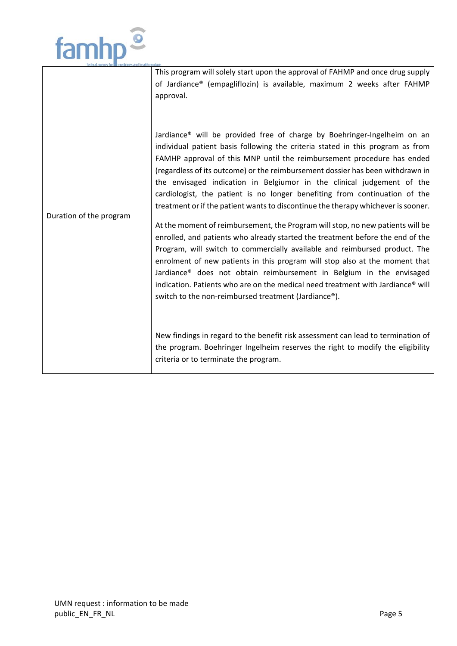

|                         | This program will solely start upon the approval of FAHMP and once drug supply<br>of Jardiance® (empagliflozin) is available, maximum 2 weeks after FAHMP<br>approval.                                                                                                                                                                                                                                                                                                                                                                                              |
|-------------------------|---------------------------------------------------------------------------------------------------------------------------------------------------------------------------------------------------------------------------------------------------------------------------------------------------------------------------------------------------------------------------------------------------------------------------------------------------------------------------------------------------------------------------------------------------------------------|
| Duration of the program | Jardiance® will be provided free of charge by Boehringer-Ingelheim on an<br>individual patient basis following the criteria stated in this program as from<br>FAMHP approval of this MNP until the reimbursement procedure has ended<br>(regardless of its outcome) or the reimbursement dossier has been withdrawn in<br>the envisaged indication in Belgiumor in the clinical judgement of the<br>cardiologist, the patient is no longer benefiting from continuation of the<br>treatment or if the patient wants to discontinue the therapy whichever is sooner. |
|                         | At the moment of reimbursement, the Program will stop, no new patients will be<br>enrolled, and patients who already started the treatment before the end of the<br>Program, will switch to commercially available and reimbursed product. The<br>enrolment of new patients in this program will stop also at the moment that<br>Jardiance <sup>®</sup> does not obtain reimbursement in Belgium in the envisaged<br>indication. Patients who are on the medical need treatment with Jardiance® will<br>switch to the non-reimbursed treatment (Jardiance®).        |
|                         | New findings in regard to the benefit risk assessment can lead to termination of<br>the program. Boehringer Ingelheim reserves the right to modify the eligibility<br>criteria or to terminate the program.                                                                                                                                                                                                                                                                                                                                                         |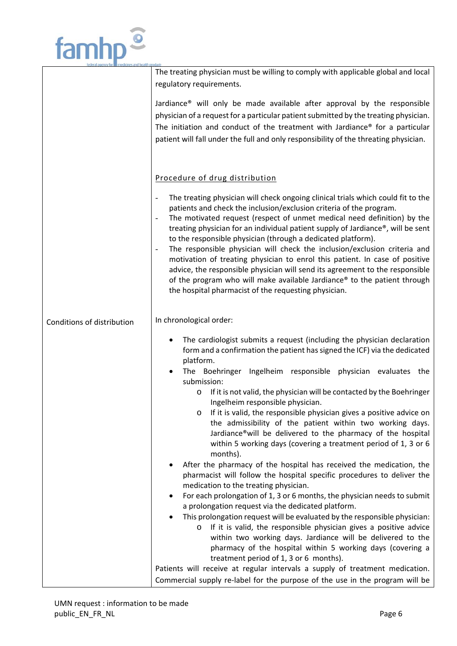

|                            | The treating physician must be willing to comply with applicable global and local                                                                                                       |  |  |  |  |  |
|----------------------------|-----------------------------------------------------------------------------------------------------------------------------------------------------------------------------------------|--|--|--|--|--|
|                            | regulatory requirements.                                                                                                                                                                |  |  |  |  |  |
|                            |                                                                                                                                                                                         |  |  |  |  |  |
|                            | Jardiance <sup>®</sup> will only be made available after approval by the responsible                                                                                                    |  |  |  |  |  |
|                            | physician of a request for a particular patient submitted by the treating physician.                                                                                                    |  |  |  |  |  |
|                            | The initiation and conduct of the treatment with Jardiance® for a particular                                                                                                            |  |  |  |  |  |
|                            | patient will fall under the full and only responsibility of the threating physician.                                                                                                    |  |  |  |  |  |
|                            |                                                                                                                                                                                         |  |  |  |  |  |
|                            |                                                                                                                                                                                         |  |  |  |  |  |
|                            |                                                                                                                                                                                         |  |  |  |  |  |
|                            | Procedure of drug distribution                                                                                                                                                          |  |  |  |  |  |
|                            |                                                                                                                                                                                         |  |  |  |  |  |
|                            | The treating physician will check ongoing clinical trials which could fit to the<br>$\qquad \qquad \blacksquare$<br>patients and check the inclusion/exclusion criteria of the program. |  |  |  |  |  |
|                            | The motivated request (respect of unmet medical need definition) by the<br>$\qquad \qquad \blacksquare$                                                                                 |  |  |  |  |  |
|                            | treating physician for an individual patient supply of Jardiance®, will be sent                                                                                                         |  |  |  |  |  |
|                            | to the responsible physician (through a dedicated platform).                                                                                                                            |  |  |  |  |  |
|                            | The responsible physician will check the inclusion/exclusion criteria and<br>$\qquad \qquad \blacksquare$                                                                               |  |  |  |  |  |
|                            | motivation of treating physician to enrol this patient. In case of positive                                                                                                             |  |  |  |  |  |
|                            | advice, the responsible physician will send its agreement to the responsible                                                                                                            |  |  |  |  |  |
|                            | of the program who will make available Jardiance® to the patient through                                                                                                                |  |  |  |  |  |
|                            | the hospital pharmacist of the requesting physician.                                                                                                                                    |  |  |  |  |  |
|                            |                                                                                                                                                                                         |  |  |  |  |  |
|                            | In chronological order:                                                                                                                                                                 |  |  |  |  |  |
| Conditions of distribution |                                                                                                                                                                                         |  |  |  |  |  |
|                            | The cardiologist submits a request (including the physician declaration                                                                                                                 |  |  |  |  |  |
|                            | form and a confirmation the patient has signed the ICF) via the dedicated                                                                                                               |  |  |  |  |  |
|                            | platform.                                                                                                                                                                               |  |  |  |  |  |
|                            | The Boehringer Ingelheim responsible physician evaluates the                                                                                                                            |  |  |  |  |  |
|                            | submission:                                                                                                                                                                             |  |  |  |  |  |
|                            | If it is not valid, the physician will be contacted by the Boehringer<br>$\circ$                                                                                                        |  |  |  |  |  |
|                            | Ingelheim responsible physician.<br>If it is valid, the responsible physician gives a positive advice on                                                                                |  |  |  |  |  |
|                            | $\circ$<br>the admissibility of the patient within two working days.                                                                                                                    |  |  |  |  |  |
|                            | Jardiance®will be delivered to the pharmacy of the hospital                                                                                                                             |  |  |  |  |  |
|                            | within 5 working days (covering a treatment period of 1, 3 or 6                                                                                                                         |  |  |  |  |  |
|                            | months).                                                                                                                                                                                |  |  |  |  |  |
|                            | After the pharmacy of the hospital has received the medication, the                                                                                                                     |  |  |  |  |  |
|                            | pharmacist will follow the hospital specific procedures to deliver the                                                                                                                  |  |  |  |  |  |
|                            | medication to the treating physician.                                                                                                                                                   |  |  |  |  |  |
|                            | For each prolongation of 1, 3 or 6 months, the physician needs to submit                                                                                                                |  |  |  |  |  |
|                            | a prolongation request via the dedicated platform.                                                                                                                                      |  |  |  |  |  |
|                            | This prolongation request will be evaluated by the responsible physician:                                                                                                               |  |  |  |  |  |
|                            | If it is valid, the responsible physician gives a positive advice<br>O                                                                                                                  |  |  |  |  |  |
|                            | within two working days. Jardiance will be delivered to the                                                                                                                             |  |  |  |  |  |
|                            | pharmacy of the hospital within 5 working days (covering a                                                                                                                              |  |  |  |  |  |
|                            | treatment period of 1, 3 or 6 months).                                                                                                                                                  |  |  |  |  |  |
|                            | Patients will receive at regular intervals a supply of treatment medication.                                                                                                            |  |  |  |  |  |
|                            | Commercial supply re-label for the purpose of the use in the program will be                                                                                                            |  |  |  |  |  |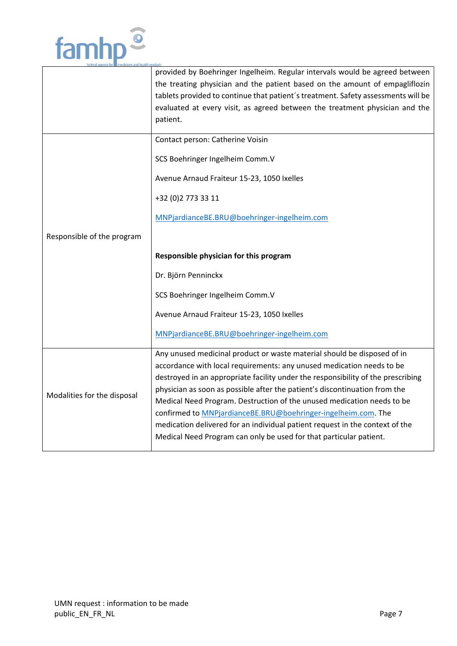

|                             | provided by Boehringer Ingelheim. Regular intervals would be agreed between<br>the treating physician and the patient based on the amount of empagliflozin<br>tablets provided to continue that patient's treatment. Safety assessments will be<br>evaluated at every visit, as agreed between the treatment physician and the<br>patient. |  |  |  |  |
|-----------------------------|--------------------------------------------------------------------------------------------------------------------------------------------------------------------------------------------------------------------------------------------------------------------------------------------------------------------------------------------|--|--|--|--|
|                             | Contact person: Catherine Voisin                                                                                                                                                                                                                                                                                                           |  |  |  |  |
|                             | SCS Boehringer Ingelheim Comm.V                                                                                                                                                                                                                                                                                                            |  |  |  |  |
|                             | Avenue Arnaud Fraiteur 15-23, 1050 Ixelles                                                                                                                                                                                                                                                                                                 |  |  |  |  |
|                             | +32 (0) 2 773 33 11                                                                                                                                                                                                                                                                                                                        |  |  |  |  |
|                             | MNPjardianceBE.BRU@boehringer-ingelheim.com                                                                                                                                                                                                                                                                                                |  |  |  |  |
| Responsible of the program  |                                                                                                                                                                                                                                                                                                                                            |  |  |  |  |
|                             | Responsible physician for this program                                                                                                                                                                                                                                                                                                     |  |  |  |  |
|                             | Dr. Björn Penninckx                                                                                                                                                                                                                                                                                                                        |  |  |  |  |
|                             | SCS Boehringer Ingelheim Comm.V                                                                                                                                                                                                                                                                                                            |  |  |  |  |
|                             | Avenue Arnaud Fraiteur 15-23, 1050 Ixelles                                                                                                                                                                                                                                                                                                 |  |  |  |  |
|                             | MNPjardianceBE.BRU@boehringer-ingelheim.com                                                                                                                                                                                                                                                                                                |  |  |  |  |
|                             | Any unused medicinal product or waste material should be disposed of in                                                                                                                                                                                                                                                                    |  |  |  |  |
|                             | accordance with local requirements: any unused medication needs to be                                                                                                                                                                                                                                                                      |  |  |  |  |
|                             | destroyed in an appropriate facility under the responsibility of the prescribing<br>physician as soon as possible after the patient's discontinuation from the                                                                                                                                                                             |  |  |  |  |
| Modalities for the disposal | Medical Need Program. Destruction of the unused medication needs to be                                                                                                                                                                                                                                                                     |  |  |  |  |
|                             | confirmed to MNPjardianceBE.BRU@boehringer-ingelheim.com. The                                                                                                                                                                                                                                                                              |  |  |  |  |
|                             | medication delivered for an individual patient request in the context of the                                                                                                                                                                                                                                                               |  |  |  |  |
|                             | Medical Need Program can only be used for that particular patient.                                                                                                                                                                                                                                                                         |  |  |  |  |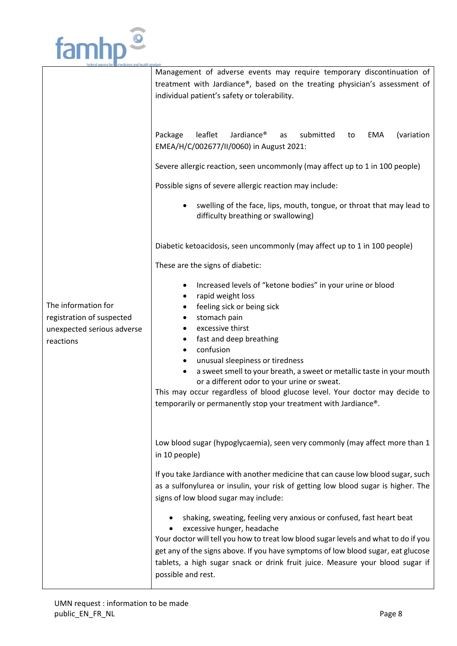

|                                                                                             | Management of adverse events may require temporary discontinuation of<br>treatment with Jardiance®, based on the treating physician's assessment of<br>individual patient's safety or tolerability.                                                                                                                                                                                                                                                                                                                 |  |  |  |  |  |
|---------------------------------------------------------------------------------------------|---------------------------------------------------------------------------------------------------------------------------------------------------------------------------------------------------------------------------------------------------------------------------------------------------------------------------------------------------------------------------------------------------------------------------------------------------------------------------------------------------------------------|--|--|--|--|--|
|                                                                                             | leaflet<br>Jardiance <sup>®</sup><br>submitted<br>Package<br>EMA<br>(variation<br>as<br>to<br>EMEA/H/C/002677/II/0060) in August 2021:                                                                                                                                                                                                                                                                                                                                                                              |  |  |  |  |  |
|                                                                                             | Severe allergic reaction, seen uncommonly (may affect up to 1 in 100 people)                                                                                                                                                                                                                                                                                                                                                                                                                                        |  |  |  |  |  |
|                                                                                             | Possible signs of severe allergic reaction may include:                                                                                                                                                                                                                                                                                                                                                                                                                                                             |  |  |  |  |  |
|                                                                                             | swelling of the face, lips, mouth, tongue, or throat that may lead to<br>difficulty breathing or swallowing)                                                                                                                                                                                                                                                                                                                                                                                                        |  |  |  |  |  |
|                                                                                             | Diabetic ketoacidosis, seen uncommonly (may affect up to 1 in 100 people)                                                                                                                                                                                                                                                                                                                                                                                                                                           |  |  |  |  |  |
|                                                                                             | These are the signs of diabetic:                                                                                                                                                                                                                                                                                                                                                                                                                                                                                    |  |  |  |  |  |
| The information for<br>registration of suspected<br>unexpected serious adverse<br>reactions | Increased levels of "ketone bodies" in your urine or blood<br>rapid weight loss<br>feeling sick or being sick<br>stomach pain<br>excessive thirst<br>fast and deep breathing<br>$\bullet$<br>confusion<br>unusual sleepiness or tiredness<br>a sweet smell to your breath, a sweet or metallic taste in your mouth<br>or a different odor to your urine or sweat.<br>This may occur regardless of blood glucose level. Your doctor may decide to<br>temporarily or permanently stop your treatment with Jardiance®. |  |  |  |  |  |
|                                                                                             | Low blood sugar (hypoglycaemia), seen very commonly (may affect more than 1<br>in 10 people)                                                                                                                                                                                                                                                                                                                                                                                                                        |  |  |  |  |  |
|                                                                                             | If you take Jardiance with another medicine that can cause low blood sugar, such<br>as a sulfonylurea or insulin, your risk of getting low blood sugar is higher. The<br>signs of low blood sugar may include:                                                                                                                                                                                                                                                                                                      |  |  |  |  |  |
|                                                                                             | shaking, sweating, feeling very anxious or confused, fast heart beat<br>excessive hunger, headache<br>Your doctor will tell you how to treat low blood sugar levels and what to do if you<br>get any of the signs above. If you have symptoms of low blood sugar, eat glucose<br>tablets, a high sugar snack or drink fruit juice. Measure your blood sugar if<br>possible and rest.                                                                                                                                |  |  |  |  |  |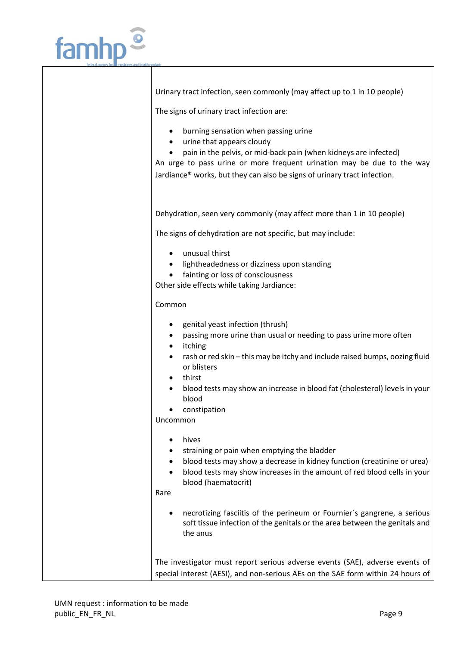

Urinary tract infection, seen commonly (may affect up to 1 in 10 people)

The signs of urinary tract infection are:

- burning sensation when passing urine
- urine that appears cloudy
- pain in the pelvis, or mid-back pain (when kidneys are infected)

An urge to pass urine or more frequent urination may be due to the way Jardiance® works, but they can also be signs of urinary tract infection.

Dehydration, seen very commonly (may affect more than 1 in 10 people)

The signs of dehydration are not specific, but may include:

- unusual thirst
- **•** lightheadedness or dizziness upon standing
- fainting or loss of consciousness

Other side effects while taking Jardiance:

Common

- genital yeast infection (thrush)
- passing more urine than usual or needing to pass urine more often
- itching
- rash or red skin this may be itchy and include raised bumps, oozing fluid or blisters
- thirst
- blood tests may show an increase in blood fat (cholesterol) levels in your blood
- constipation

Uncommon

- hives
- straining or pain when emptying the bladder
- blood tests may show a decrease in kidney function (creatinine or urea)
- blood tests may show increases in the amount of red blood cells in your blood (haematocrit)

Rare

 necrotizing fasciitis of the perineum or Fournier´s gangrene, a serious soft tissue infection of the genitals or the area between the genitals and the anus

The investigator must report serious adverse events (SAE), adverse events of special interest (AESI), and non-serious AEs on the SAE form within 24 hours of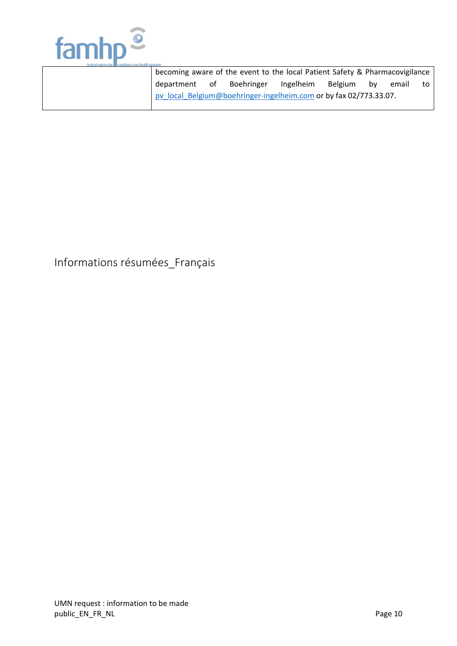

| becoming aware of the event to the local Patient Safety & Pharmacovigilance |  |           |         |    |       |    |
|-----------------------------------------------------------------------------|--|-----------|---------|----|-------|----|
| department of Boehringer                                                    |  | Ingelheim | Belgium | bv | email | to |
| pv local Belgium@boehringer-ingelheim.com or by fax 02/773.33.07.           |  |           |         |    |       |    |

## Informations résumées\_Français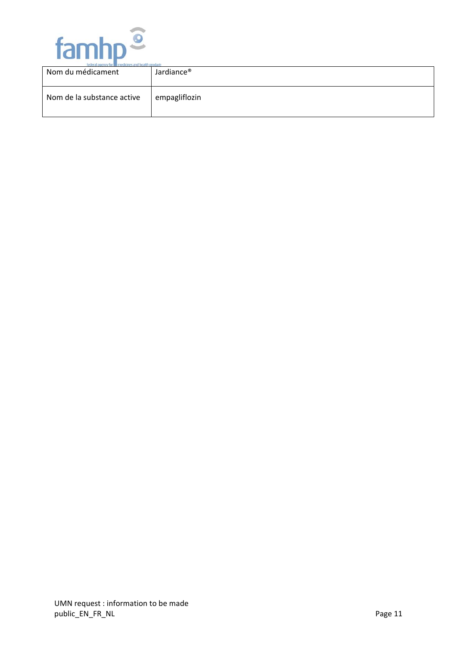

| TRUCKS SUSKY TOF III ITRUKIN'S SIKE DRSIII DROUGKS<br>Nom du médicament | Jardiance <sup>®</sup> |
|-------------------------------------------------------------------------|------------------------|
| Nom de la substance active                                              | empagliflozin          |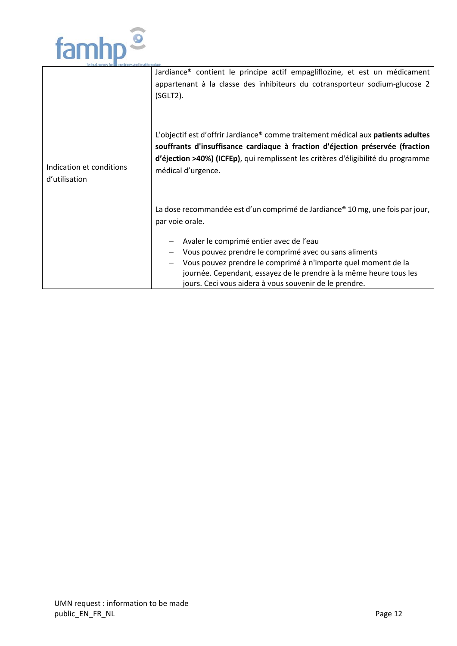

|                                           | Jardiance <sup>®</sup> contient le principe actif empagliflozine, et est un médicament<br>appartenant à la classe des inhibiteurs du cotransporteur sodium-glucose 2<br>$(SGLT2)$ .                                                                                                               |
|-------------------------------------------|---------------------------------------------------------------------------------------------------------------------------------------------------------------------------------------------------------------------------------------------------------------------------------------------------|
| Indication et conditions<br>d'utilisation | L'objectif est d'offrir Jardiance® comme traitement médical aux patients adultes<br>souffrants d'insuffisance cardiaque à fraction d'éjection préservée (fraction<br>d'éjection >40%) (ICFEp), qui remplissent les critères d'éligibilité du programme<br>médical d'urgence.                      |
|                                           | La dose recommandée est d'un comprimé de Jardiance® 10 mg, une fois par jour,<br>par voie orale.                                                                                                                                                                                                  |
|                                           | Avaler le comprimé entier avec de l'eau<br>Vous pouvez prendre le comprimé avec ou sans aliments<br>Vous pouvez prendre le comprimé à n'importe quel moment de la<br>journée. Cependant, essayez de le prendre à la même heure tous les<br>jours. Ceci vous aidera à vous souvenir de le prendre. |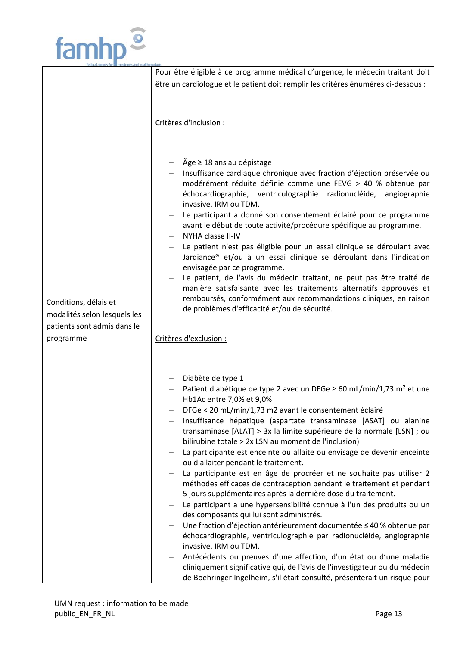

|                                                                                            | Pour être éligible à ce programme médical d'urgence, le médecin traitant doit                                                                    |  |  |  |
|--------------------------------------------------------------------------------------------|--------------------------------------------------------------------------------------------------------------------------------------------------|--|--|--|
|                                                                                            |                                                                                                                                                  |  |  |  |
|                                                                                            | être un cardiologue et le patient doit remplir les critères énumérés ci-dessous :                                                                |  |  |  |
|                                                                                            |                                                                                                                                                  |  |  |  |
|                                                                                            |                                                                                                                                                  |  |  |  |
|                                                                                            |                                                                                                                                                  |  |  |  |
|                                                                                            | Critères d'inclusion :                                                                                                                           |  |  |  |
|                                                                                            |                                                                                                                                                  |  |  |  |
|                                                                                            |                                                                                                                                                  |  |  |  |
|                                                                                            |                                                                                                                                                  |  |  |  |
|                                                                                            | $\hat{A}$ ge $\geq$ 18 ans au dépistage                                                                                                          |  |  |  |
|                                                                                            | Insuffisance cardiaque chronique avec fraction d'éjection préservée ou                                                                           |  |  |  |
|                                                                                            | modérément réduite définie comme une FEVG > 40 % obtenue par                                                                                     |  |  |  |
|                                                                                            | échocardiographie, ventriculographie radionucléide, angiographie                                                                                 |  |  |  |
|                                                                                            | invasive, IRM ou TDM.                                                                                                                            |  |  |  |
|                                                                                            | Le participant a donné son consentement éclairé pour ce programme                                                                                |  |  |  |
|                                                                                            | avant le début de toute activité/procédure spécifique au programme.                                                                              |  |  |  |
|                                                                                            | NYHA classe II-IV                                                                                                                                |  |  |  |
|                                                                                            | Le patient n'est pas éligible pour un essai clinique se déroulant avec                                                                           |  |  |  |
|                                                                                            | Jardiance® et/ou à un essai clinique se déroulant dans l'indication                                                                              |  |  |  |
|                                                                                            | envisagée par ce programme.                                                                                                                      |  |  |  |
|                                                                                            | Le patient, de l'avis du médecin traitant, ne peut pas être traité de                                                                            |  |  |  |
|                                                                                            | manière satisfaisante avec les traitements alternatifs approuvés et                                                                              |  |  |  |
| remboursés, conformément aux recommandations cliniques, en raison<br>Conditions, délais et |                                                                                                                                                  |  |  |  |
|                                                                                            | de problèmes d'efficacité et/ou de sécurité.                                                                                                     |  |  |  |
| modalités selon lesquels les                                                               |                                                                                                                                                  |  |  |  |
| patients sont admis dans le                                                                |                                                                                                                                                  |  |  |  |
| programme                                                                                  | Critères d'exclusion :                                                                                                                           |  |  |  |
|                                                                                            |                                                                                                                                                  |  |  |  |
|                                                                                            |                                                                                                                                                  |  |  |  |
|                                                                                            |                                                                                                                                                  |  |  |  |
|                                                                                            | Diabète de type 1                                                                                                                                |  |  |  |
|                                                                                            | Patient diabétique de type 2 avec un DFGe $\geq$ 60 mL/min/1,73 m <sup>2</sup> et une                                                            |  |  |  |
|                                                                                            | Hb1Ac entre 7,0% et 9,0%                                                                                                                         |  |  |  |
|                                                                                            | DFGe < 20 mL/min/1,73 m2 avant le consentement éclairé                                                                                           |  |  |  |
|                                                                                            | Insuffisance hépatique (aspartate transaminase [ASAT] ou alanine                                                                                 |  |  |  |
|                                                                                            | transaminase [ALAT] > 3x la limite supérieure de la normale [LSN] ; ou                                                                           |  |  |  |
|                                                                                            | bilirubine totale > 2x LSN au moment de l'inclusion)                                                                                             |  |  |  |
|                                                                                            | La participante est enceinte ou allaite ou envisage de devenir enceinte                                                                          |  |  |  |
|                                                                                            | ou d'allaiter pendant le traitement.                                                                                                             |  |  |  |
|                                                                                            | La participante est en âge de procréer et ne souhaite pas utiliser 2                                                                             |  |  |  |
|                                                                                            |                                                                                                                                                  |  |  |  |
|                                                                                            | méthodes efficaces de contraception pendant le traitement et pendant                                                                             |  |  |  |
|                                                                                            | 5 jours supplémentaires après la dernière dose du traitement.                                                                                    |  |  |  |
|                                                                                            | Le participant a une hypersensibilité connue à l'un des produits ou un                                                                           |  |  |  |
|                                                                                            | des composants qui lui sont administrés.                                                                                                         |  |  |  |
|                                                                                            |                                                                                                                                                  |  |  |  |
|                                                                                            | Une fraction d'éjection antérieurement documentée ≤ 40 % obtenue par                                                                             |  |  |  |
|                                                                                            | échocardiographie, ventriculographie par radionucléide, angiographie                                                                             |  |  |  |
|                                                                                            | invasive, IRM ou TDM.                                                                                                                            |  |  |  |
|                                                                                            | Antécédents ou preuves d'une affection, d'un état ou d'une maladie<br>cliniquement significative qui, de l'avis de l'investigateur ou du médecin |  |  |  |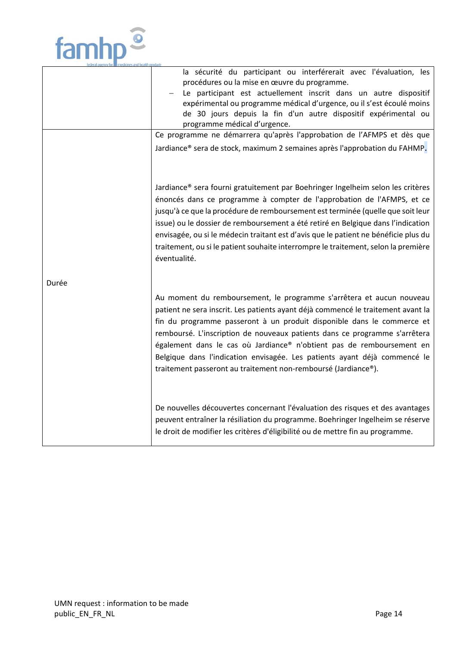

 $\mathbf{r}$ 

|       | la sécurité du participant ou interférerait avec l'évaluation, les<br>procédures ou la mise en œuvre du programme.<br>Le participant est actuellement inscrit dans un autre dispositif<br>expérimental ou programme médical d'urgence, ou il s'est écoulé moins<br>de 30 jours depuis la fin d'un autre dispositif expérimental ou<br>programme médical d'urgence.<br>Ce programme ne démarrera qu'après l'approbation de l'AFMPS et dès que<br>Jardiance® sera de stock, maximum 2 semaines après l'approbation du FAHMP.               |
|-------|------------------------------------------------------------------------------------------------------------------------------------------------------------------------------------------------------------------------------------------------------------------------------------------------------------------------------------------------------------------------------------------------------------------------------------------------------------------------------------------------------------------------------------------|
|       | Jardiance® sera fourni gratuitement par Boehringer Ingelheim selon les critères<br>énoncés dans ce programme à compter de l'approbation de l'AFMPS, et ce<br>jusqu'à ce que la procédure de remboursement est terminée (quelle que soit leur<br>issue) ou le dossier de remboursement a été retiré en Belgique dans l'indication<br>envisagée, ou si le médecin traitant est d'avis que le patient ne bénéficie plus du<br>traitement, ou si le patient souhaite interrompre le traitement, selon la première<br>éventualité.            |
| Durée | Au moment du remboursement, le programme s'arrêtera et aucun nouveau<br>patient ne sera inscrit. Les patients ayant déjà commencé le traitement avant la<br>fin du programme passeront à un produit disponible dans le commerce et<br>remboursé. L'inscription de nouveaux patients dans ce programme s'arrêtera<br>également dans le cas où Jardiance® n'obtient pas de remboursement en<br>Belgique dans l'indication envisagée. Les patients ayant déjà commencé le<br>traitement passeront au traitement non-remboursé (Jardiance®). |
|       | De nouvelles découvertes concernant l'évaluation des risques et des avantages<br>peuvent entraîner la résiliation du programme. Boehringer Ingelheim se réserve<br>le droit de modifier les critères d'éligibilité ou de mettre fin au programme.                                                                                                                                                                                                                                                                                        |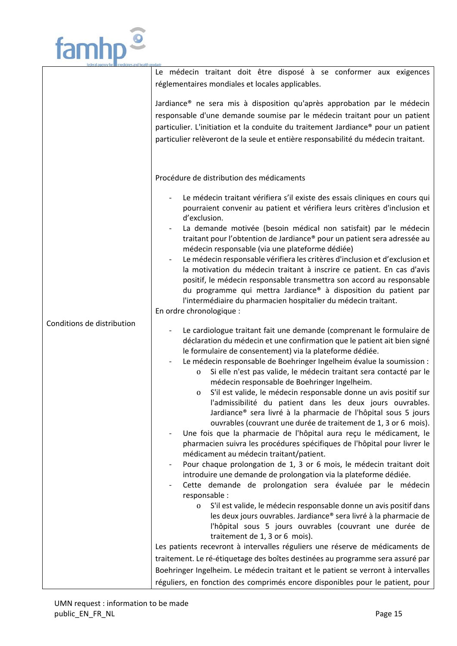

|                            | Le médecin traitant doit être disposé à se conformer aux exigences<br>réglementaires mondiales et locales applicables.                                                                                                                                                                                                                                                                          |
|----------------------------|-------------------------------------------------------------------------------------------------------------------------------------------------------------------------------------------------------------------------------------------------------------------------------------------------------------------------------------------------------------------------------------------------|
|                            | Jardiance <sup>®</sup> ne sera mis à disposition qu'après approbation par le médecin<br>responsable d'une demande soumise par le médecin traitant pour un patient<br>particulier. L'initiation et la conduite du traitement Jardiance® pour un patient<br>particulier relèveront de la seule et entière responsabilité du médecin traitant.                                                     |
|                            | Procédure de distribution des médicaments                                                                                                                                                                                                                                                                                                                                                       |
|                            | Le médecin traitant vérifiera s'il existe des essais cliniques en cours qui<br>pourraient convenir au patient et vérifiera leurs critères d'inclusion et<br>d'exclusion.                                                                                                                                                                                                                        |
|                            | La demande motivée (besoin médical non satisfait) par le médecin<br>traitant pour l'obtention de Jardiance® pour un patient sera adressée au<br>médecin responsable (via une plateforme dédiée)                                                                                                                                                                                                 |
|                            | Le médecin responsable vérifiera les critères d'inclusion et d'exclusion et<br>$\overline{\phantom{a}}$<br>la motivation du médecin traitant à inscrire ce patient. En cas d'avis<br>positif, le médecin responsable transmettra son accord au responsable<br>du programme qui mettra Jardiance® à disposition du patient par<br>l'intermédiaire du pharmacien hospitalier du médecin traitant. |
|                            | En ordre chronologique :                                                                                                                                                                                                                                                                                                                                                                        |
| Conditions de distribution | Le cardiologue traitant fait une demande (comprenant le formulaire de<br>déclaration du médecin et une confirmation que le patient ait bien signé<br>le formulaire de consentement) via la plateforme dédiée.<br>Le médecin responsable de Boehringer Ingelheim évalue la soumission :                                                                                                          |
|                            | Si elle n'est pas valide, le médecin traitant sera contacté par le<br>0<br>médecin responsable de Boehringer Ingelheim.<br>S'il est valide, le médecin responsable donne un avis positif sur<br>0<br>l'admissibilité du patient dans les deux jours ouvrables.                                                                                                                                  |
|                            | Jardiance® sera livré à la pharmacie de l'hôpital sous 5 jours                                                                                                                                                                                                                                                                                                                                  |
|                            | ouvrables (couvrant une durée de traitement de 1, 3 or 6 mois).<br>Une fois que la pharmacie de l'hôpital aura reçu le médicament, le<br>pharmacien suivra les procédures spécifiques de l'hôpital pour livrer le                                                                                                                                                                               |
|                            | médicament au médecin traitant/patient.<br>Pour chaque prolongation de 1, 3 or 6 mois, le médecin traitant doit                                                                                                                                                                                                                                                                                 |
|                            | introduire une demande de prolongation via la plateforme dédiée.                                                                                                                                                                                                                                                                                                                                |
|                            | Cette demande de prolongation sera évaluée par le médecin<br>responsable :                                                                                                                                                                                                                                                                                                                      |
|                            | S'il est valide, le médecin responsable donne un avis positif dans<br>0<br>les deux jours ouvrables. Jardiance® sera livré à la pharmacie de<br>l'hôpital sous 5 jours ouvrables (couvrant une durée de                                                                                                                                                                                         |
|                            | traitement de 1, 3 or 6 mois).<br>Les patients recevront à intervalles réguliers une réserve de médicaments de                                                                                                                                                                                                                                                                                  |
|                            | traitement. Le ré-étiquetage des boîtes destinées au programme sera assuré par                                                                                                                                                                                                                                                                                                                  |
|                            | Boehringer Ingelheim. Le médecin traitant et le patient se verront à intervalles                                                                                                                                                                                                                                                                                                                |
|                            | réguliers, en fonction des comprimés encore disponibles pour le patient, pour                                                                                                                                                                                                                                                                                                                   |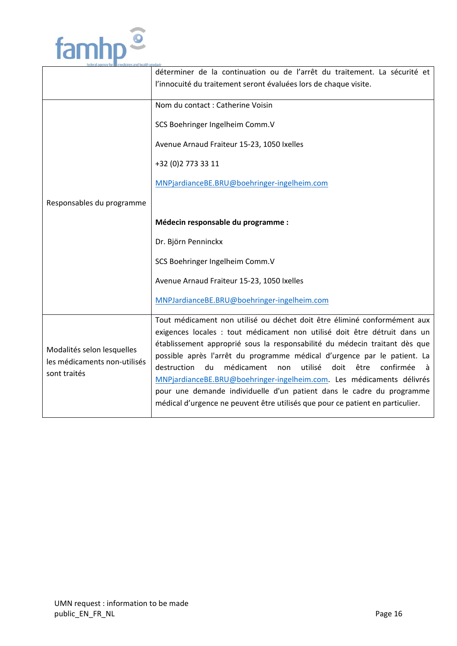

|                                                                            | déterminer de la continuation ou de l'arrêt du traitement. La sécurité et                                                                                                                                                                                                                                       |
|----------------------------------------------------------------------------|-----------------------------------------------------------------------------------------------------------------------------------------------------------------------------------------------------------------------------------------------------------------------------------------------------------------|
|                                                                            | l'innocuité du traitement seront évaluées lors de chaque visite.                                                                                                                                                                                                                                                |
|                                                                            | Nom du contact : Catherine Voisin                                                                                                                                                                                                                                                                               |
|                                                                            | SCS Boehringer Ingelheim Comm.V                                                                                                                                                                                                                                                                                 |
|                                                                            | Avenue Arnaud Fraiteur 15-23, 1050 Ixelles                                                                                                                                                                                                                                                                      |
|                                                                            | +32 (0) 2 773 33 11                                                                                                                                                                                                                                                                                             |
|                                                                            | MNPjardianceBE.BRU@boehringer-ingelheim.com                                                                                                                                                                                                                                                                     |
| Responsables du programme                                                  |                                                                                                                                                                                                                                                                                                                 |
|                                                                            | Médecin responsable du programme :                                                                                                                                                                                                                                                                              |
|                                                                            | Dr. Björn Penninckx                                                                                                                                                                                                                                                                                             |
|                                                                            | SCS Boehringer Ingelheim Comm.V                                                                                                                                                                                                                                                                                 |
|                                                                            | Avenue Arnaud Fraiteur 15-23, 1050 Ixelles                                                                                                                                                                                                                                                                      |
|                                                                            | MNPJardianceBE.BRU@boehringer-ingelheim.com                                                                                                                                                                                                                                                                     |
| Modalités selon lesquelles<br>les médicaments non-utilisés<br>sont traités | Tout médicament non utilisé ou déchet doit être éliminé conformément aux<br>exigences locales : tout médicament non utilisé doit être détruit dans un<br>établissement approprié sous la responsabilité du médecin traitant dès que<br>possible après l'arrêt du programme médical d'urgence par le patient. La |
|                                                                            | destruction<br>du<br>médicament<br>utilisé<br>doit<br>être<br>confirmée<br>non<br>à                                                                                                                                                                                                                             |
|                                                                            | MNPjardianceBE.BRU@boehringer-ingelheim.com. Les médicaments délivrés<br>pour une demande individuelle d'un patient dans le cadre du programme                                                                                                                                                                  |
|                                                                            | médical d'urgence ne peuvent être utilisés que pour ce patient en particulier.                                                                                                                                                                                                                                  |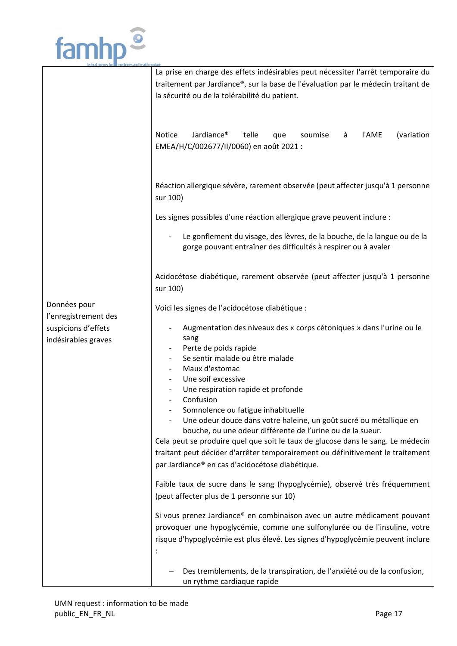

|                      | La prise en charge des effets indésirables peut nécessiter l'arrêt temporaire du               |
|----------------------|------------------------------------------------------------------------------------------------|
|                      | traitement par Jardiance®, sur la base de l'évaluation par le médecin traitant de              |
|                      | la sécurité ou de la tolérabilité du patient.                                                  |
|                      |                                                                                                |
|                      |                                                                                                |
|                      |                                                                                                |
|                      | <b>Notice</b><br>Jardiance <sup>®</sup><br>telle<br>l'AME<br>(variation<br>à<br>que<br>soumise |
|                      | EMEA/H/C/002677/II/0060) en août 2021 :                                                        |
|                      |                                                                                                |
|                      |                                                                                                |
|                      | Réaction allergique sévère, rarement observée (peut affecter jusqu'à 1 personne                |
|                      | sur 100)                                                                                       |
|                      |                                                                                                |
|                      | Les signes possibles d'une réaction allergique grave peuvent inclure :                         |
|                      | Le gonflement du visage, des lèvres, de la bouche, de la langue ou de la                       |
|                      | gorge pouvant entraîner des difficultés à respirer ou à avaler                                 |
|                      |                                                                                                |
|                      |                                                                                                |
|                      | Acidocétose diabétique, rarement observée (peut affecter jusqu'à 1 personne                    |
|                      | sur 100)                                                                                       |
| Données pour         | Voici les signes de l'acidocétose diabétique :                                                 |
| l'enregistrement des |                                                                                                |
| suspicions d'effets  | Augmentation des niveaux des « corps cétoniques » dans l'urine ou le                           |
| indésirables graves  | sang                                                                                           |
|                      | Perte de poids rapide                                                                          |
|                      | Se sentir malade ou être malade                                                                |
|                      | Maux d'estomac<br>Une soif excessive                                                           |
|                      | Une respiration rapide et profonde                                                             |
|                      | Confusion                                                                                      |
|                      | Somnolence ou fatigue inhabituelle                                                             |
|                      | Une odeur douce dans votre haleine, un goût sucré ou métallique en                             |
|                      | bouche, ou une odeur différente de l'urine ou de la sueur.                                     |
|                      | Cela peut se produire quel que soit le taux de glucose dans le sang. Le médecin                |
|                      | traitant peut décider d'arrêter temporairement ou définitivement le traitement                 |
|                      | par Jardiance® en cas d'acidocétose diabétique.                                                |
|                      |                                                                                                |
|                      | Faible taux de sucre dans le sang (hypoglycémie), observé très fréquemment                     |
|                      | (peut affecter plus de 1 personne sur 10)                                                      |
|                      | Si vous prenez Jardiance® en combinaison avec un autre médicament pouvant                      |
|                      | provoquer une hypoglycémie, comme une sulfonylurée ou de l'insuline, votre                     |
|                      | risque d'hypoglycémie est plus élevé. Les signes d'hypoglycémie peuvent inclure                |
|                      |                                                                                                |
|                      |                                                                                                |
|                      | Des tremblements, de la transpiration, de l'anxiété ou de la confusion,                        |
|                      | un rythme cardiaque rapide                                                                     |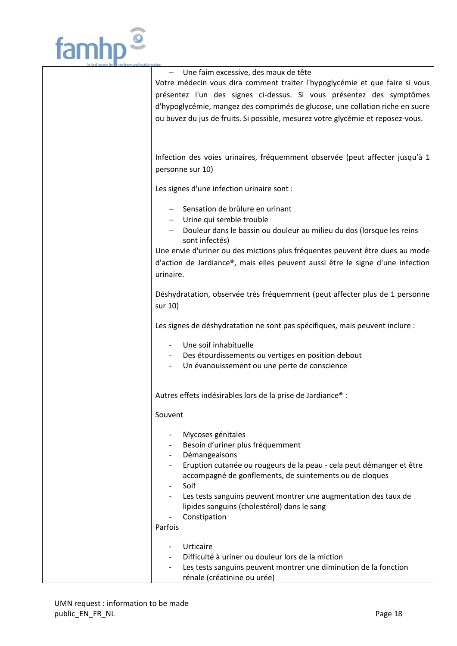

| Une faim excessive, des maux de tête<br>Votre médecin vous dira comment traiter l'hypoglycémie et que faire si vous<br>présentez l'un des signes ci-dessus. Si vous présentez des symptômes<br>d'hypoglycémie, mangez des comprimés de glucose, une collation riche en sucre<br>ou buvez du jus de fruits. Si possible, mesurez votre glycémie et reposez-vous.                            |
|--------------------------------------------------------------------------------------------------------------------------------------------------------------------------------------------------------------------------------------------------------------------------------------------------------------------------------------------------------------------------------------------|
| Infection des voies urinaires, fréquemment observée (peut affecter jusqu'à 1<br>personne sur 10)                                                                                                                                                                                                                                                                                           |
| Les signes d'une infection urinaire sont :                                                                                                                                                                                                                                                                                                                                                 |
| Sensation de brûlure en urinant<br>- Urine qui semble trouble<br>Douleur dans le bassin ou douleur au milieu du dos (lorsque les reins<br>sont infectés)<br>Une envie d'uriner ou des mictions plus fréquentes peuvent être dues au mode<br>d'action de Jardiance®, mais elles peuvent aussi être le signe d'une infection<br>urinaire.                                                    |
| Déshydratation, observée très fréquemment (peut affecter plus de 1 personne<br>sur 10)                                                                                                                                                                                                                                                                                                     |
| Les signes de déshydratation ne sont pas spécifiques, mais peuvent inclure :                                                                                                                                                                                                                                                                                                               |
| Une soif inhabituelle<br>Des étourdissements ou vertiges en position debout<br>Un évanouissement ou une perte de conscience                                                                                                                                                                                                                                                                |
| Autres effets indésirables lors de la prise de Jardiance® :                                                                                                                                                                                                                                                                                                                                |
| Souvent                                                                                                                                                                                                                                                                                                                                                                                    |
| Mycoses génitales<br>Besoin d'uriner plus fréquemment<br>Démangeaisons<br>$\overline{\phantom{a}}$<br>Eruption cutanée ou rougeurs de la peau - cela peut démanger et être<br>accompagné de gonflements, de suintements ou de cloques<br>Soif<br>Les tests sanguins peuvent montrer une augmentation des taux de<br>lipides sanguins (cholestérol) dans le sang<br>Constipation<br>Parfois |
| Urticaire<br>Difficulté à uriner ou douleur lors de la miction<br>Les tests sanguins peuvent montrer une diminution de la fonction<br>rénale (créatinine ou urée)                                                                                                                                                                                                                          |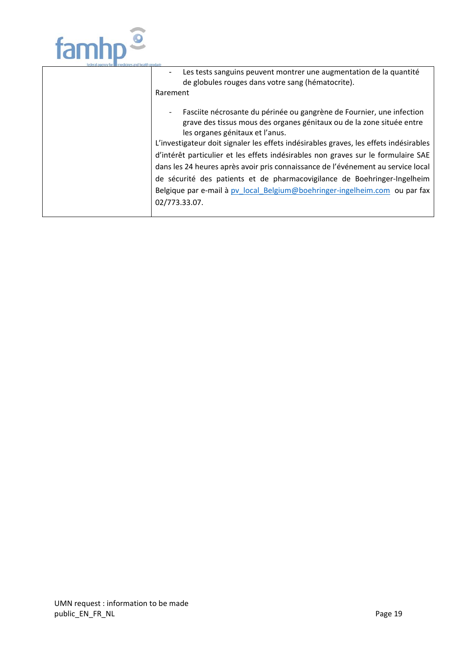

| Les tests sanguins peuvent montrer une augmentation de la quantité<br>de globules rouges dans votre sang (hématocrite).                                                                                                                                                                                                                                                                                                                                                                                                                                                                                                        |
|--------------------------------------------------------------------------------------------------------------------------------------------------------------------------------------------------------------------------------------------------------------------------------------------------------------------------------------------------------------------------------------------------------------------------------------------------------------------------------------------------------------------------------------------------------------------------------------------------------------------------------|
| Rarement                                                                                                                                                                                                                                                                                                                                                                                                                                                                                                                                                                                                                       |
| Fasciite nécrosante du périnée ou gangrène de Fournier, une infection<br>grave des tissus mous des organes génitaux ou de la zone située entre<br>les organes génitaux et l'anus.<br>L'investigateur doit signaler les effets indésirables graves, les effets indésirables<br>d'intérêt particulier et les effets indésirables non graves sur le formulaire SAE<br>dans les 24 heures après avoir pris connaissance de l'événement au service local<br>de sécurité des patients et de pharmacovigilance de Boehringer-Ingelheim<br>Belgique par e-mail à pv local Belgium@boehringer-ingelheim.com ou par fax<br>02/773.33.07. |
|                                                                                                                                                                                                                                                                                                                                                                                                                                                                                                                                                                                                                                |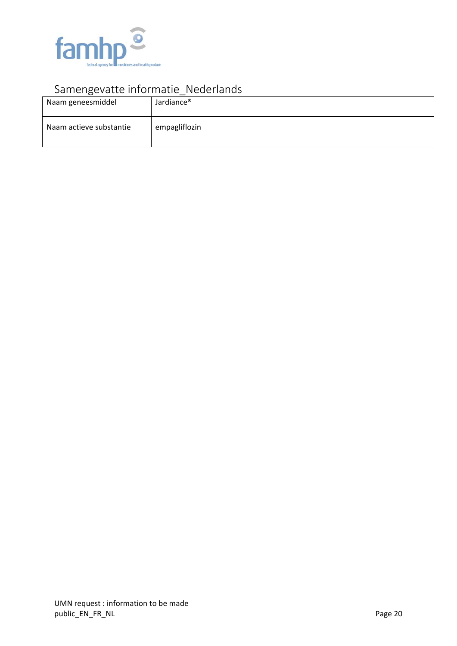

## Samengevatte informatie\_Nederlands

| Naam geneesmiddel       | Jardiance <sup>®</sup> |
|-------------------------|------------------------|
| Naam actieve substantie | empagliflozin          |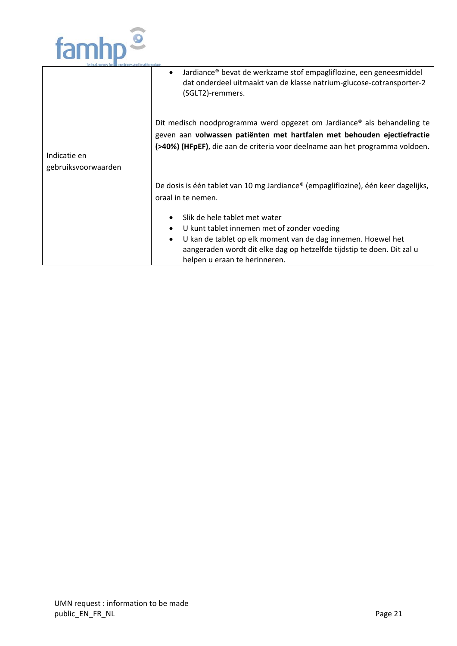

|                                     | Jardiance® bevat de werkzame stof empagliflozine, een geneesmiddel<br>$\bullet$<br>dat onderdeel uitmaakt van de klasse natrium-glucose-cotransporter-2<br>(SGLT2)-remmers.                                                                                                    |
|-------------------------------------|--------------------------------------------------------------------------------------------------------------------------------------------------------------------------------------------------------------------------------------------------------------------------------|
| Indicatie en<br>gebruiksvoorwaarden | Dit medisch noodprogramma werd opgezet om Jardiance® als behandeling te<br>geven aan volwassen patiënten met hartfalen met behouden ejectiefractie<br>(>40%) (HFpEF), die aan de criteria voor deelname aan het programma voldoen.                                             |
|                                     | De dosis is één tablet van 10 mg Jardiance® (empagliflozine), één keer dagelijks,<br>oraal in te nemen.                                                                                                                                                                        |
|                                     | Slik de hele tablet met water<br>٠<br>U kunt tablet innemen met of zonder voeding<br>٠<br>U kan de tablet op elk moment van de dag innemen. Hoewel het<br>$\bullet$<br>aangeraden wordt dit elke dag op hetzelfde tijdstip te doen. Dit zal u<br>helpen u eraan te herinneren. |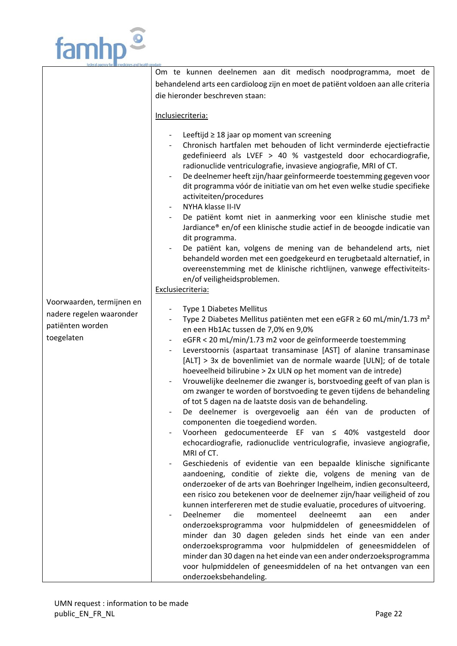

|                                                                                         | Om te kunnen deelnemen aan dit medisch noodprogramma, moet de                                                                                                                                                                                                                                                                                                                                                                                                                                                                                                                                                                                                                                                                                                                                                                                                                                                                                                                                                                                                                                                                                                                                                                                                                                                                                                                                                                                                                                                                                                                                                                                                                    |
|-----------------------------------------------------------------------------------------|----------------------------------------------------------------------------------------------------------------------------------------------------------------------------------------------------------------------------------------------------------------------------------------------------------------------------------------------------------------------------------------------------------------------------------------------------------------------------------------------------------------------------------------------------------------------------------------------------------------------------------------------------------------------------------------------------------------------------------------------------------------------------------------------------------------------------------------------------------------------------------------------------------------------------------------------------------------------------------------------------------------------------------------------------------------------------------------------------------------------------------------------------------------------------------------------------------------------------------------------------------------------------------------------------------------------------------------------------------------------------------------------------------------------------------------------------------------------------------------------------------------------------------------------------------------------------------------------------------------------------------------------------------------------------------|
|                                                                                         | behandelend arts een cardioloog zijn en moet de patiënt voldoen aan alle criteria                                                                                                                                                                                                                                                                                                                                                                                                                                                                                                                                                                                                                                                                                                                                                                                                                                                                                                                                                                                                                                                                                                                                                                                                                                                                                                                                                                                                                                                                                                                                                                                                |
|                                                                                         |                                                                                                                                                                                                                                                                                                                                                                                                                                                                                                                                                                                                                                                                                                                                                                                                                                                                                                                                                                                                                                                                                                                                                                                                                                                                                                                                                                                                                                                                                                                                                                                                                                                                                  |
|                                                                                         | die hieronder beschreven staan:                                                                                                                                                                                                                                                                                                                                                                                                                                                                                                                                                                                                                                                                                                                                                                                                                                                                                                                                                                                                                                                                                                                                                                                                                                                                                                                                                                                                                                                                                                                                                                                                                                                  |
|                                                                                         | Inclusiecriteria:                                                                                                                                                                                                                                                                                                                                                                                                                                                                                                                                                                                                                                                                                                                                                                                                                                                                                                                                                                                                                                                                                                                                                                                                                                                                                                                                                                                                                                                                                                                                                                                                                                                                |
|                                                                                         | Leeftijd $\geq 18$ jaar op moment van screening<br>Chronisch hartfalen met behouden of licht verminderde ejectiefractie<br>gedefinieerd als LVEF > 40 % vastgesteld door echocardiografie,<br>radionuclide ventriculografie, invasieve angiografie, MRI of CT.<br>De deelnemer heeft zijn/haar geïnformeerde toestemming gegeven voor<br>$\overline{\phantom{a}}$<br>dit programma vóór de initiatie van om het even welke studie specifieke<br>activiteiten/procedures<br>NYHA klasse II-IV<br>De patiënt komt niet in aanmerking voor een klinische studie met<br>Jardiance® en/of een klinische studie actief in de beoogde indicatie van<br>dit programma.<br>De patiënt kan, volgens de mening van de behandelend arts, niet<br>behandeld worden met een goedgekeurd en terugbetaald alternatief, in<br>overeenstemming met de klinische richtlijnen, vanwege effectiviteits-<br>en/of veiligheidsproblemen.<br>Exclusiecriteria:                                                                                                                                                                                                                                                                                                                                                                                                                                                                                                                                                                                                                                                                                                                                           |
| Voorwaarden, termijnen en<br>nadere regelen waaronder<br>patiënten worden<br>toegelaten | Type 1 Diabetes Mellitus<br>Type 2 Diabetes Mellitus patiënten met een eGFR $\geq$ 60 mL/min/1.73 m <sup>2</sup><br>en een Hb1Ac tussen de 7,0% en 9,0%<br>eGFR < 20 mL/min/1.73 m2 voor de geïnformeerde toestemming<br>Leverstoornis (aspartaat transaminase [AST] of alanine transaminase<br>[ALT] > 3x de bovenlimiet van de normale waarde [ULN]; of de totale<br>hoeveelheid bilirubine > 2x ULN op het moment van de intrede)<br>Vrouwelijke deelnemer die zwanger is, borstvoeding geeft of van plan is<br>om zwanger te worden of borstvoeding te geven tijdens de behandeling<br>of tot 5 dagen na de laatste dosis van de behandeling.<br>De deelnemer is overgevoelig aan één van de producten of<br>componenten die toegediend worden.<br>Voorheen gedocumenteerde EF van ≤ 40% vastgesteld door<br>echocardiografie, radionuclide ventriculografie, invasieve angiografie,<br>MRI of CT.<br>Geschiedenis of evidentie van een bepaalde klinische significante<br>aandoening, conditie of ziekte die, volgens de mening van de<br>onderzoeker of de arts van Boehringer Ingelheim, indien geconsulteerd,<br>een risico zou betekenen voor de deelnemer zijn/haar veiligheid of zou<br>kunnen interfereren met de studie evaluatie, procedures of uitvoering.<br>Deelnemer<br>deelneemt<br>die<br>momenteel<br>ander<br>aan<br>een<br>onderzoeksprogramma voor hulpmiddelen of geneesmiddelen of<br>minder dan 30 dagen geleden sinds het einde van een ander<br>onderzoeksprogramma voor hulpmiddelen of geneesmiddelen of<br>minder dan 30 dagen na het einde van een ander onderzoeksprogramma<br>voor hulpmiddelen of geneesmiddelen of na het ontvangen van een |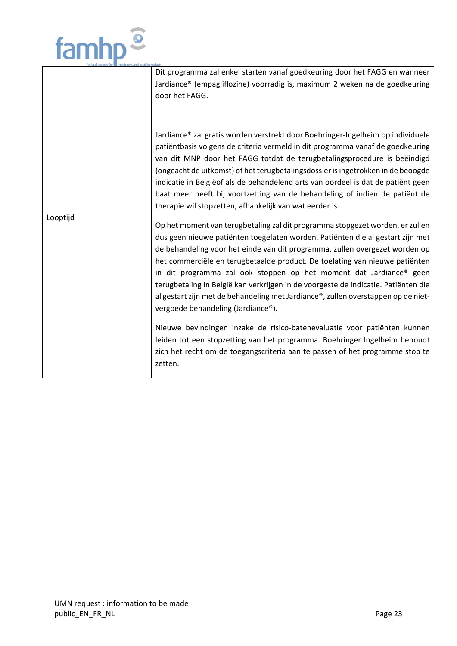

|          | Dit programma zal enkel starten vanaf goedkeuring door het FAGG en wanneer<br>Jardiance® (empagliflozine) voorradig is, maximum 2 weken na de goedkeuring<br>door het FAGG.                                                                                                                                                                                                                                                                                                                                                                                                                                          |
|----------|----------------------------------------------------------------------------------------------------------------------------------------------------------------------------------------------------------------------------------------------------------------------------------------------------------------------------------------------------------------------------------------------------------------------------------------------------------------------------------------------------------------------------------------------------------------------------------------------------------------------|
| Looptijd | Jardiance® zal gratis worden verstrekt door Boehringer-Ingelheim op individuele<br>patiëntbasis volgens de criteria vermeld in dit programma vanaf de goedkeuring<br>van dit MNP door het FAGG totdat de terugbetalingsprocedure is beëindigd<br>(ongeacht de uitkomst) of het terugbetalingsdossier is ingetrokken in de beoogde<br>indicatie in Belgiëof als de behandelend arts van oordeel is dat de patiënt geen<br>baat meer heeft bij voortzetting van de behandeling of indien de patiënt de<br>therapie wil stopzetten, afhankelijk van wat eerder is.                                                      |
|          | Op het moment van terugbetaling zal dit programma stopgezet worden, er zullen<br>dus geen nieuwe patiënten toegelaten worden. Patiënten die al gestart zijn met<br>de behandeling voor het einde van dit programma, zullen overgezet worden op<br>het commerciële en terugbetaalde product. De toelating van nieuwe patiënten<br>in dit programma zal ook stoppen op het moment dat Jardiance® geen<br>terugbetaling in België kan verkrijgen in de voorgestelde indicatie. Patiënten die<br>al gestart zijn met de behandeling met Jardiance®, zullen overstappen op de niet-<br>vergoede behandeling (Jardiance®). |
|          | Nieuwe bevindingen inzake de risico-batenevaluatie voor patiënten kunnen<br>leiden tot een stopzetting van het programma. Boehringer Ingelheim behoudt<br>zich het recht om de toegangscriteria aan te passen of het programme stop te<br>zetten.                                                                                                                                                                                                                                                                                                                                                                    |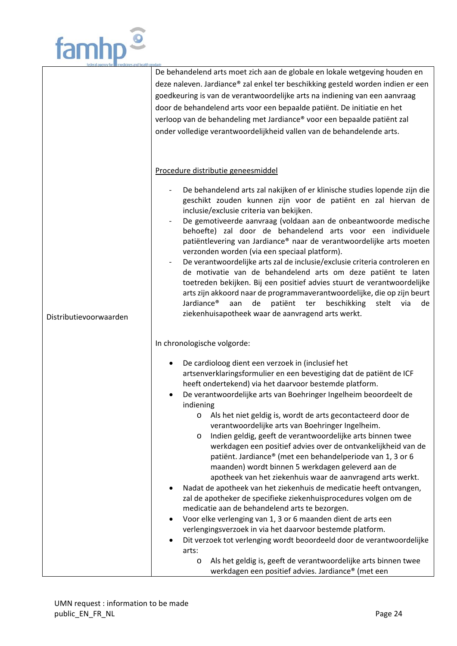

|                        | De behandelend arts moet zich aan de globale en lokale wetgeving houden en<br>deze naleven. Jardiance® zal enkel ter beschikking gesteld worden indien er een<br>goedkeuring is van de verantwoordelijke arts na indiening van een aanvraag<br>door de behandelend arts voor een bepaalde patiënt. De initiatie en het<br>verloop van de behandeling met Jardiance® voor een bepaalde patiënt zal<br>onder volledige verantwoordelijkheid vallen van de behandelende arts.                                                                                                                                                                                                                                                                                                                                                                                                                             |
|------------------------|--------------------------------------------------------------------------------------------------------------------------------------------------------------------------------------------------------------------------------------------------------------------------------------------------------------------------------------------------------------------------------------------------------------------------------------------------------------------------------------------------------------------------------------------------------------------------------------------------------------------------------------------------------------------------------------------------------------------------------------------------------------------------------------------------------------------------------------------------------------------------------------------------------|
|                        | Procedure distributie geneesmiddel                                                                                                                                                                                                                                                                                                                                                                                                                                                                                                                                                                                                                                                                                                                                                                                                                                                                     |
| Distributievoorwaarden | De behandelend arts zal nakijken of er klinische studies lopende zijn die<br>geschikt zouden kunnen zijn voor de patiënt en zal hiervan de<br>inclusie/exclusie criteria van bekijken.<br>De gemotiveerde aanvraag (voldaan aan de onbeantwoorde medische<br>behoefte) zal door de behandelend arts voor een individuele<br>patiëntlevering van Jardiance® naar de verantwoordelijke arts moeten<br>verzonden worden (via een speciaal platform).<br>De verantwoordelijke arts zal de inclusie/exclusie criteria controleren en<br>de motivatie van de behandelend arts om deze patiënt te laten<br>toetreden bekijken. Bij een positief advies stuurt de verantwoordelijke<br>arts zijn akkoord naar de programmaverantwoordelijke, die op zijn beurt<br>Jardiance <sup>®</sup><br>patiënt ter<br>aan<br>de<br>beschikking<br>stelt<br>via<br>de<br>ziekenhuisapotheek waar de aanvragend arts werkt. |
|                        | In chronologische volgorde:                                                                                                                                                                                                                                                                                                                                                                                                                                                                                                                                                                                                                                                                                                                                                                                                                                                                            |
|                        | De cardioloog dient een verzoek in (inclusief het<br>٠<br>artsenverklaringsformulier en een bevestiging dat de patiënt de ICF<br>heeft ondertekend) via het daarvoor bestemde platform.<br>De verantwoordelijke arts van Boehringer Ingelheim beoordeelt de<br>indiening                                                                                                                                                                                                                                                                                                                                                                                                                                                                                                                                                                                                                               |
|                        | Als het niet geldig is, wordt de arts gecontacteerd door de<br>$\circ$<br>verantwoordelijke arts van Boehringer Ingelheim.<br>Indien geldig, geeft de verantwoordelijke arts binnen twee<br>$\circ$<br>werkdagen een positief advies over de ontvankelijkheid van de<br>patiënt. Jardiance® (met een behandelperiode van 1, 3 or 6<br>maanden) wordt binnen 5 werkdagen geleverd aan de<br>apotheek van het ziekenhuis waar de aanvragend arts werkt.                                                                                                                                                                                                                                                                                                                                                                                                                                                  |
|                        | Nadat de apotheek van het ziekenhuis de medicatie heeft ontvangen,                                                                                                                                                                                                                                                                                                                                                                                                                                                                                                                                                                                                                                                                                                                                                                                                                                     |
|                        | zal de apotheker de specifieke ziekenhuisprocedures volgen om de<br>medicatie aan de behandelend arts te bezorgen.                                                                                                                                                                                                                                                                                                                                                                                                                                                                                                                                                                                                                                                                                                                                                                                     |
|                        | Voor elke verlenging van 1, 3 or 6 maanden dient de arts een<br>$\bullet$                                                                                                                                                                                                                                                                                                                                                                                                                                                                                                                                                                                                                                                                                                                                                                                                                              |
|                        | verlengingsverzoek in via het daarvoor bestemde platform.                                                                                                                                                                                                                                                                                                                                                                                                                                                                                                                                                                                                                                                                                                                                                                                                                                              |
|                        | Dit verzoek tot verlenging wordt beoordeeld door de verantwoordelijke                                                                                                                                                                                                                                                                                                                                                                                                                                                                                                                                                                                                                                                                                                                                                                                                                                  |
|                        | arts:<br>Als het geldig is, geeft de verantwoordelijke arts binnen twee<br>$\circ$<br>werkdagen een positief advies. Jardiance® (met een                                                                                                                                                                                                                                                                                                                                                                                                                                                                                                                                                                                                                                                                                                                                                               |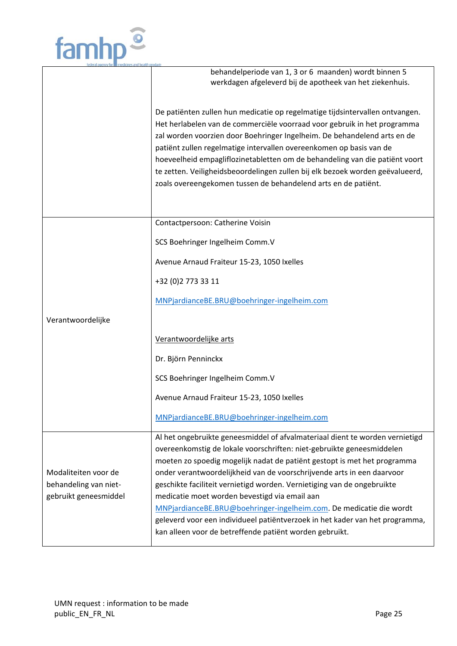|                       | behandelperiode van 1, 3 or 6 maanden) wordt binnen 5<br>werkdagen afgeleverd bij de apotheek van het ziekenhuis.                                                                                                                                                                                                                                                                                                                                                                                                                             |
|-----------------------|-----------------------------------------------------------------------------------------------------------------------------------------------------------------------------------------------------------------------------------------------------------------------------------------------------------------------------------------------------------------------------------------------------------------------------------------------------------------------------------------------------------------------------------------------|
|                       | De patiënten zullen hun medicatie op regelmatige tijdsintervallen ontvangen.<br>Het herlabelen van de commerciële voorraad voor gebruik in het programma<br>zal worden voorzien door Boehringer Ingelheim. De behandelend arts en de<br>patiënt zullen regelmatige intervallen overeenkomen op basis van de<br>hoeveelheid empagliflozinetabletten om de behandeling van die patiënt voort<br>te zetten. Veiligheidsbeoordelingen zullen bij elk bezoek worden geëvalueerd,<br>zoals overeengekomen tussen de behandelend arts en de patiënt. |
|                       | Contactpersoon: Catherine Voisin                                                                                                                                                                                                                                                                                                                                                                                                                                                                                                              |
|                       | SCS Boehringer Ingelheim Comm.V                                                                                                                                                                                                                                                                                                                                                                                                                                                                                                               |
|                       | Avenue Arnaud Fraiteur 15-23, 1050 Ixelles                                                                                                                                                                                                                                                                                                                                                                                                                                                                                                    |
|                       | +32 (0) 2 773 33 11                                                                                                                                                                                                                                                                                                                                                                                                                                                                                                                           |
|                       | MNPjardianceBE.BRU@boehringer-ingelheim.com                                                                                                                                                                                                                                                                                                                                                                                                                                                                                                   |
| Verantwoordelijke     |                                                                                                                                                                                                                                                                                                                                                                                                                                                                                                                                               |
|                       | Verantwoordelijke arts                                                                                                                                                                                                                                                                                                                                                                                                                                                                                                                        |
|                       | Dr. Björn Penninckx                                                                                                                                                                                                                                                                                                                                                                                                                                                                                                                           |
|                       | SCS Boehringer Ingelheim Comm.V                                                                                                                                                                                                                                                                                                                                                                                                                                                                                                               |
|                       | Avenue Arnaud Fraiteur 15-23, 1050 Ixelles                                                                                                                                                                                                                                                                                                                                                                                                                                                                                                    |
|                       | MNPjardianceBE.BRU@boehringer-ingelheim.com                                                                                                                                                                                                                                                                                                                                                                                                                                                                                                   |
|                       | Al het ongebruikte geneesmiddel of afvalmateriaal dient te worden vernietigd<br>overeenkomstig de lokale voorschriften: niet-gebruikte geneesmiddelen                                                                                                                                                                                                                                                                                                                                                                                         |
| Modaliteiten voor de  | moeten zo spoedig mogelijk nadat de patiënt gestopt is met het programma<br>onder verantwoordelijkheid van de voorschrijvende arts in een daarvoor                                                                                                                                                                                                                                                                                                                                                                                            |
| behandeling van niet- | geschikte faciliteit vernietigd worden. Vernietiging van de ongebruikte                                                                                                                                                                                                                                                                                                                                                                                                                                                                       |
| gebruikt geneesmiddel | medicatie moet worden bevestigd via email aan                                                                                                                                                                                                                                                                                                                                                                                                                                                                                                 |
|                       | MNPjardianceBE.BRU@boehringer-ingelheim.com. De medicatie die wordt<br>geleverd voor een individueel patiëntverzoek in het kader van het programma,                                                                                                                                                                                                                                                                                                                                                                                           |
|                       | kan alleen voor de betreffende patiënt worden gebruikt.                                                                                                                                                                                                                                                                                                                                                                                                                                                                                       |

 $\iff$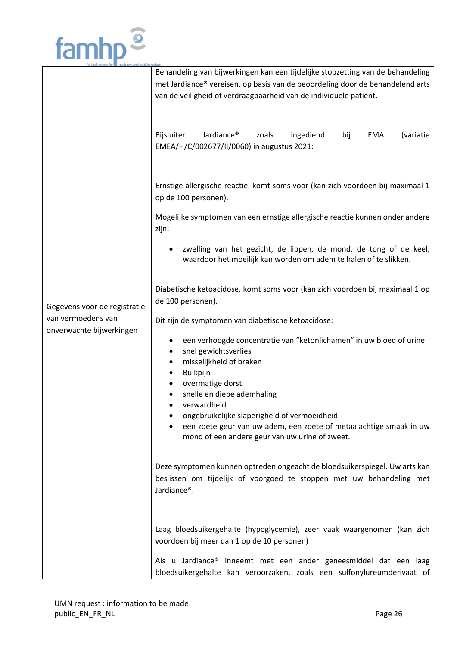

|                              | Behandeling van bijwerkingen kan een tijdelijke stopzetting van de behandeling               |
|------------------------------|----------------------------------------------------------------------------------------------|
|                              | met Jardiance® vereisen, op basis van de beoordeling door de behandelend arts                |
|                              | van de veiligheid of verdraagbaarheid van de individuele patiënt.                            |
|                              |                                                                                              |
|                              |                                                                                              |
|                              |                                                                                              |
|                              | Jardiance <sup>®</sup><br>Bijsluiter<br>ingediend<br><b>EMA</b><br>(variatie<br>zoals<br>bij |
|                              | EMEA/H/C/002677/II/0060) in augustus 2021:                                                   |
|                              |                                                                                              |
|                              |                                                                                              |
|                              |                                                                                              |
|                              | Ernstige allergische reactie, komt soms voor (kan zich voordoen bij maximaal 1               |
|                              | op de 100 personen).                                                                         |
|                              |                                                                                              |
|                              | Mogelijke symptomen van een ernstige allergische reactie kunnen onder andere                 |
|                              | zijn:                                                                                        |
|                              |                                                                                              |
|                              | zwelling van het gezicht, de lippen, de mond, de tong of de keel,                            |
|                              | waardoor het moeilijk kan worden om adem te halen of te slikken.                             |
|                              |                                                                                              |
|                              | Diabetische ketoacidose, komt soms voor (kan zich voordoen bij maximaal 1 op                 |
|                              | de 100 personen).                                                                            |
| Gegevens voor de registratie |                                                                                              |
| van vermoedens van           | Dit zijn de symptomen van diabetische ketoacidose:                                           |
| onverwachte bijwerkingen     |                                                                                              |
|                              | een verhoogde concentratie van "ketonlichamen" in uw bloed of urine                          |
|                              | snel gewichtsverlies                                                                         |
|                              | misselijkheid of braken                                                                      |
|                              | Buikpijn                                                                                     |
|                              | overmatige dorst                                                                             |
|                              | snelle en diepe ademhaling                                                                   |
|                              | verwardheid                                                                                  |
|                              | ongebruikelijke slaperigheid of vermoeidheid                                                 |
|                              | een zoete geur van uw adem, een zoete of metaalachtige smaak in uw                           |
|                              | mond of een andere geur van uw urine of zweet.                                               |
|                              |                                                                                              |
|                              |                                                                                              |
|                              | Deze symptomen kunnen optreden ongeacht de bloedsuikerspiegel. Uw arts kan                   |
|                              | beslissen om tijdelijk of voorgoed te stoppen met uw behandeling met                         |
|                              | Jardiance®.                                                                                  |
|                              |                                                                                              |
|                              |                                                                                              |
|                              |                                                                                              |
|                              | Laag bloedsuikergehalte (hypoglycemie), zeer vaak waargenomen (kan zich                      |
|                              | voordoen bij meer dan 1 op de 10 personen)                                                   |
|                              |                                                                                              |
|                              | Als u Jardiance® inneemt met een ander geneesmiddel dat een laag                             |
|                              | bloedsuikergehalte kan veroorzaken, zoals een sulfonylureumderivaat of                       |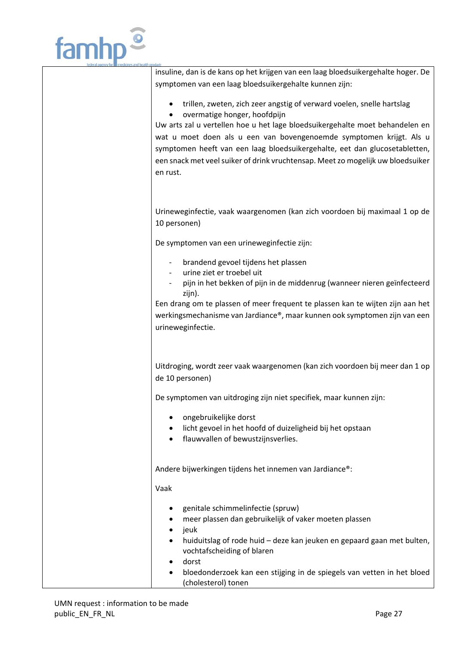

insuline, dan is de kans op het krijgen van een laag bloedsuikergehalte hoger. De symptomen van een laag bloedsuikergehalte kunnen zijn:

- trillen, zweten, zich zeer angstig of verward voelen, snelle hartslag
- overmatige honger, hoofdpijn

Uw arts zal u vertellen hoe u het lage bloedsuikergehalte moet behandelen en wat u moet doen als u een van bovengenoemde symptomen krijgt. Als u symptomen heeft van een laag bloedsuikergehalte, eet dan glucosetabletten, een snack met veel suiker of drink vruchtensap. Meet zo mogelijk uw bloedsuiker en rust.

Urineweginfectie, vaak waargenomen (kan zich voordoen bij maximaal 1 op de 10 personen)

De symptomen van een urineweginfectie zijn:

- ‐ brandend gevoel tijdens het plassen
- ‐ urine ziet er troebel uit
- ‐ pijn in het bekken of pijn in de middenrug (wanneer nieren geïnfecteerd zijn).

Een drang om te plassen of meer frequent te plassen kan te wijten zijn aan het werkingsmechanisme van Jardiance®, maar kunnen ook symptomen zijn van een urineweginfectie.

Uitdroging, wordt zeer vaak waargenomen (kan zich voordoen bij meer dan 1 op de 10 personen)

De symptomen van uitdroging zijn niet specifiek, maar kunnen zijn:

- ongebruikelijke dorst
- licht gevoel in het hoofd of duizeligheid bij het opstaan
- flauwvallen of bewustzijnsverlies.

Andere bijwerkingen tijdens het innemen van Jardiance®:

Vaak

- genitale schimmelinfectie (spruw)
- meer plassen dan gebruikelijk of vaker moeten plassen
- jeuk
- huiduitslag of rode huid deze kan jeuken en gepaard gaan met bulten, vochtafscheiding of blaren
- dorst
- bloedonderzoek kan een stijging in de spiegels van vetten in het bloed (cholesterol) tonen